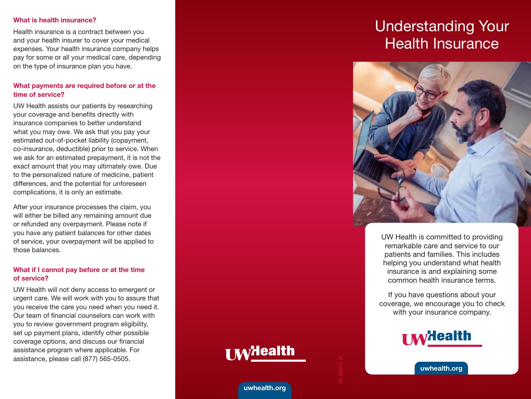#### What is health insurance?

Health insurance is a contract between you and your health insurer to cover your medical expenses. Your health insurance company helps pay for some or all your medical care, depending on the type of insurance plan you have.

## What payments are required before or at the time of service?

UW Health assists our patients by researching your coverage and benefits directly with insurance companies to better understand what you may owe. We ask that you pay your estimated out-of-pocket liability (copayment, co-insurance, deductible) prior to service. When we ask for an estimated prepayment, it is not the exact amount that you may ultimately owe. Due to the personalized nature of medicine, patient differences, and the potential for unforeseen complications, it is only an estimate.

After your insurance processes the claim, you will either be billed any remaining amount due or refunded any overpayment. Please note if you have any patient balances for other dates of service, your overpayment will be applied to those balances.

# What if I cannot pay before or at the time of service?

UW Health will not deny access to emergent or urgent care. We will work with you to assure that you receive the care you need when you need it. Our team of financial counselors can work with you to review government program eligibility, set up payment plans, identify other possible coverage options, and discuss our financial assistance program where applicable. For assistance, please call (877) 565-0505.

# Understanding Your Health Insurance



UW Health is committed to providing remarkable care and service to our patients and families. This includes helping you understand what health insurance is and explaining some common health insurance terms.

If you have questions about your coverage, we encourage you to check with your insurance company.



**I MyHealth** 

uwhealth.org

uwhealth.org